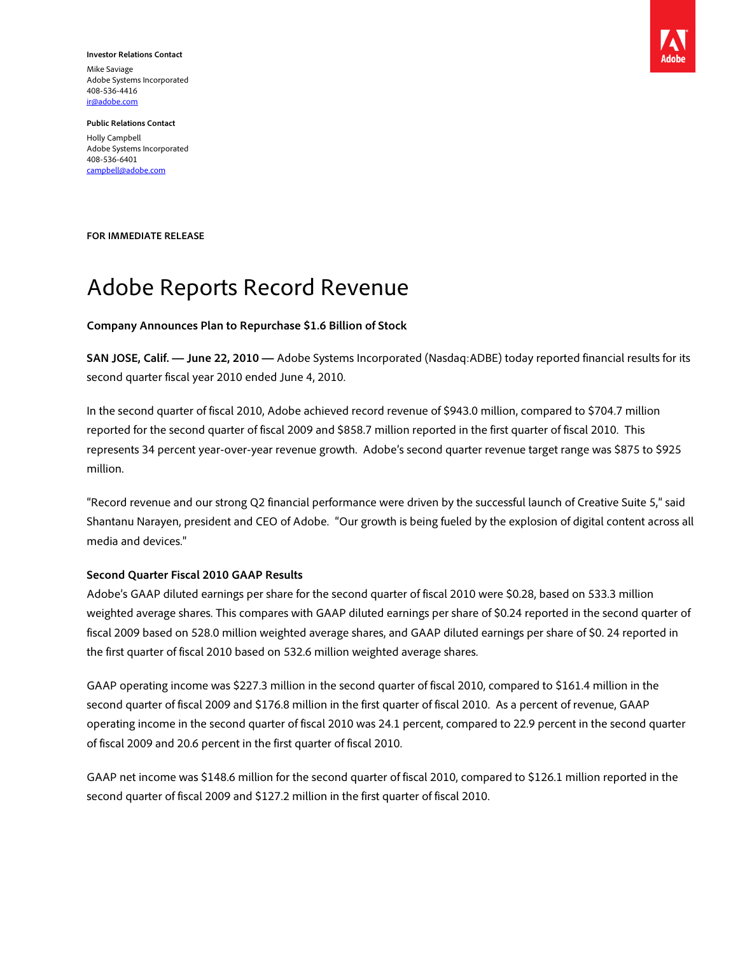**Investor Relations Contact**  Mike Saviage Adobe Systems Incorporated 408-536-4416 ir@adobe.com



**Public Relations Contact**  Holly Campbell Adobe Systems Incorporated 408-536-6401 campbell@adobe.com

**FOR IMMEDIATE RELEASE** 

# Adobe Reports Record Revenue

#### **Company Announces Plan to Repurchase \$1.6 Billion of Stock**

**SAN JOSE, Calif. — June 22, 2010 —** Adobe Systems Incorporated (Nasdaq:ADBE) today reported financial results for its second quarter fiscal year 2010 ended June 4, 2010.

In the second quarter of fiscal 2010, Adobe achieved record revenue of \$943.0 million, compared to \$704.7 million reported for the second quarter of fiscal 2009 and \$858.7 million reported in the first quarter of fiscal 2010. This represents 34 percent year-over-year revenue growth. Adobe's second quarter revenue target range was \$875 to \$925 million.

"Record revenue and our strong Q2 financial performance were driven by the successful launch of Creative Suite 5," said Shantanu Narayen, president and CEO of Adobe. "Our growth is being fueled by the explosion of digital content across all media and devices."

#### **Second Quarter Fiscal 2010 GAAP Results**

Adobe's GAAP diluted earnings per share for the second quarter of fiscal 2010 were \$0.28, based on 533.3 million weighted average shares. This compares with GAAP diluted earnings per share of \$0.24 reported in the second quarter of fiscal 2009 based on 528.0 million weighted average shares, and GAAP diluted earnings per share of \$0. 24 reported in the first quarter of fiscal 2010 based on 532.6 million weighted average shares.

GAAP operating income was \$227.3 million in the second quarter of fiscal 2010, compared to \$161.4 million in the second quarter of fiscal 2009 and \$176.8 million in the first quarter of fiscal 2010. As a percent of revenue, GAAP operating income in the second quarter of fiscal 2010 was 24.1 percent, compared to 22.9 percent in the second quarter of fiscal 2009 and 20.6 percent in the first quarter of fiscal 2010.

GAAP net income was \$148.6 million for the second quarter of fiscal 2010, compared to \$126.1 million reported in the second quarter of fiscal 2009 and \$127.2 million in the first quarter of fiscal 2010.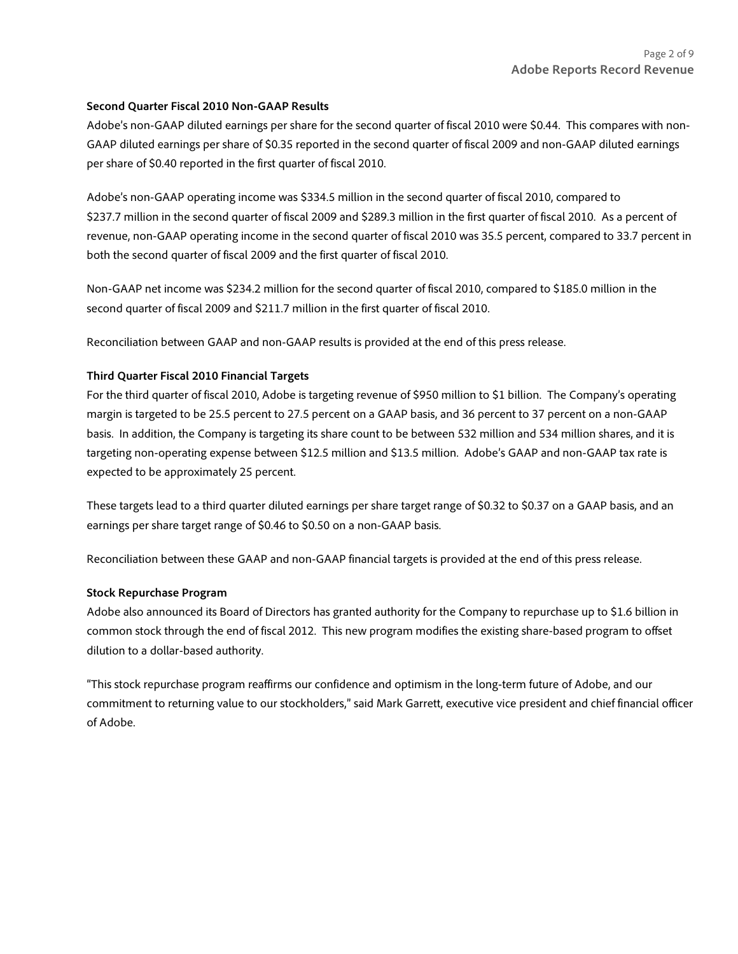#### **Second Quarter Fiscal 2010 Non-GAAP Results**

Adobe's non-GAAP diluted earnings per share for the second quarter of fiscal 2010 were \$0.44. This compares with non-GAAP diluted earnings per share of \$0.35 reported in the second quarter of fiscal 2009 and non-GAAP diluted earnings per share of \$0.40 reported in the first quarter of fiscal 2010.

Adobe's non-GAAP operating income was \$334.5 million in the second quarter of fiscal 2010, compared to \$237.7 million in the second quarter of fiscal 2009 and \$289.3 million in the first quarter of fiscal 2010. As a percent of revenue, non-GAAP operating income in the second quarter of fiscal 2010 was 35.5 percent, compared to 33.7 percent in both the second quarter of fiscal 2009 and the first quarter of fiscal 2010.

Non-GAAP net income was \$234.2 million for the second quarter of fiscal 2010, compared to \$185.0 million in the second quarter of fiscal 2009 and \$211.7 million in the first quarter of fiscal 2010.

Reconciliation between GAAP and non-GAAP results is provided at the end of this press release.

# **Third Quarter Fiscal 2010 Financial Targets**

For the third quarter of fiscal 2010, Adobe is targeting revenue of \$950 million to \$1 billion. The Company's operating margin is targeted to be 25.5 percent to 27.5 percent on a GAAP basis, and 36 percent to 37 percent on a non-GAAP basis. In addition, the Company is targeting its share count to be between 532 million and 534 million shares, and it is targeting non-operating expense between \$12.5 million and \$13.5 million. Adobe's GAAP and non-GAAP tax rate is expected to be approximately 25 percent.

These targets lead to a third quarter diluted earnings per share target range of \$0.32 to \$0.37 on a GAAP basis, and an earnings per share target range of \$0.46 to \$0.50 on a non-GAAP basis.

Reconciliation between these GAAP and non-GAAP financial targets is provided at the end of this press release.

#### **Stock Repurchase Program**

Adobe also announced its Board of Directors has granted authority for the Company to repurchase up to \$1.6 billion in common stock through the end of fiscal 2012. This new program modifies the existing share-based program to offset dilution to a dollar-based authority.

"This stock repurchase program reaffirms our confidence and optimism in the long-term future of Adobe, and our commitment to returning value to our stockholders," said Mark Garrett, executive vice president and chief financial officer of Adobe.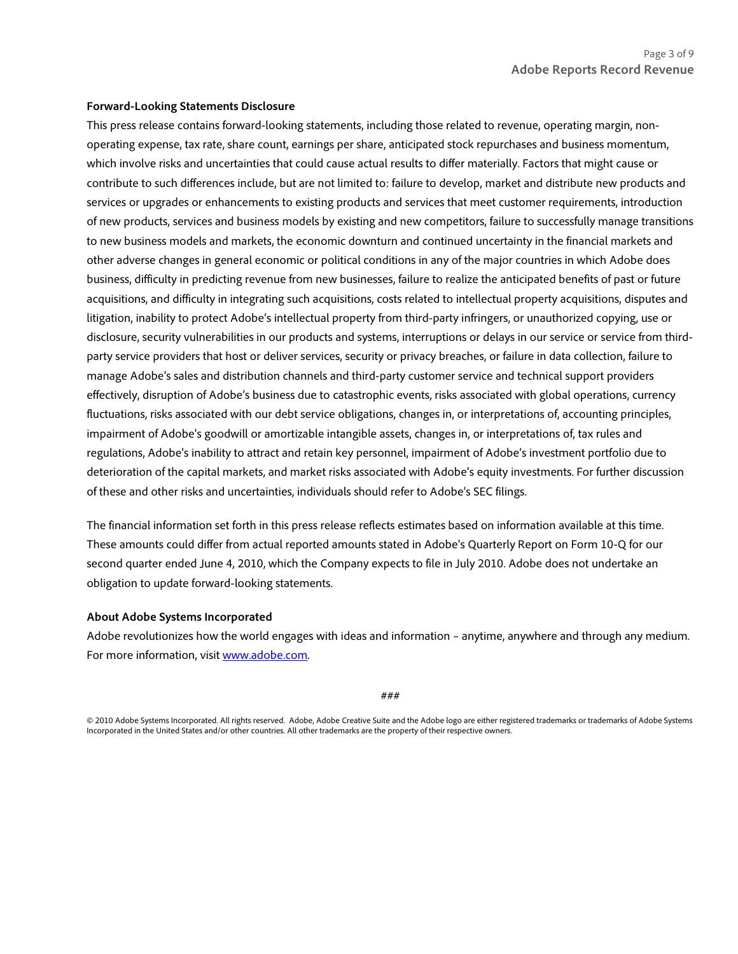#### **Forward-Looking Statements Disclosure**

This press release contains forward-looking statements, including those related to revenue, operating margin, nonoperating expense, tax rate, share count, earnings per share, anticipated stock repurchases and business momentum, which involve risks and uncertainties that could cause actual results to differ materially. Factors that might cause or contribute to such differences include, but are not limited to: failure to develop, market and distribute new products and services or upgrades or enhancements to existing products and services that meet customer requirements, introduction of new products, services and business models by existing and new competitors, failure to successfully manage transitions to new business models and markets, the economic downturn and continued uncertainty in the financial markets and other adverse changes in general economic or political conditions in any of the major countries in which Adobe does business, difficulty in predicting revenue from new businesses, failure to realize the anticipated benefits of past or future acquisitions, and difficulty in integrating such acquisitions, costs related to intellectual property acquisitions, disputes and litigation, inability to protect Adobe's intellectual property from third-party infringers, or unauthorized copying, use or disclosure, security vulnerabilities in our products and systems, interruptions or delays in our service or service from thirdparty service providers that host or deliver services, security or privacy breaches, or failure in data collection, failure to manage Adobe's sales and distribution channels and third-party customer service and technical support providers effectively, disruption of Adobe's business due to catastrophic events, risks associated with global operations, currency fluctuations, risks associated with our debt service obligations, changes in, or interpretations of, accounting principles, impairment of Adobe's goodwill or amortizable intangible assets, changes in, or interpretations of, tax rules and regulations, Adobe's inability to attract and retain key personnel, impairment of Adobe's investment portfolio due to deterioration of the capital markets, and market risks associated with Adobe's equity investments. For further discussion of these and other risks and uncertainties, individuals should refer to Adobe's SEC filings.

The financial information set forth in this press release reflects estimates based on information available at this time. These amounts could differ from actual reported amounts stated in Adobe's Quarterly Report on Form 10-Q for our second quarter ended June 4, 2010, which the Company expects to file in July 2010. Adobe does not undertake an obligation to update forward-looking statements.

#### **About Adobe Systems Incorporated**

Adobe revolutionizes how the world engages with ideas and information – anytime, anywhere and through any medium. For more information, visit www.adobe.com.

###

© 2010 Adobe Systems Incorporated. All rights reserved. Adobe, Adobe Creative Suite and the Adobe logo are either registered trademarks or trademarks of Adobe Systems Incorporated in the United States and/or other countries. All other trademarks are the property of their respective owners.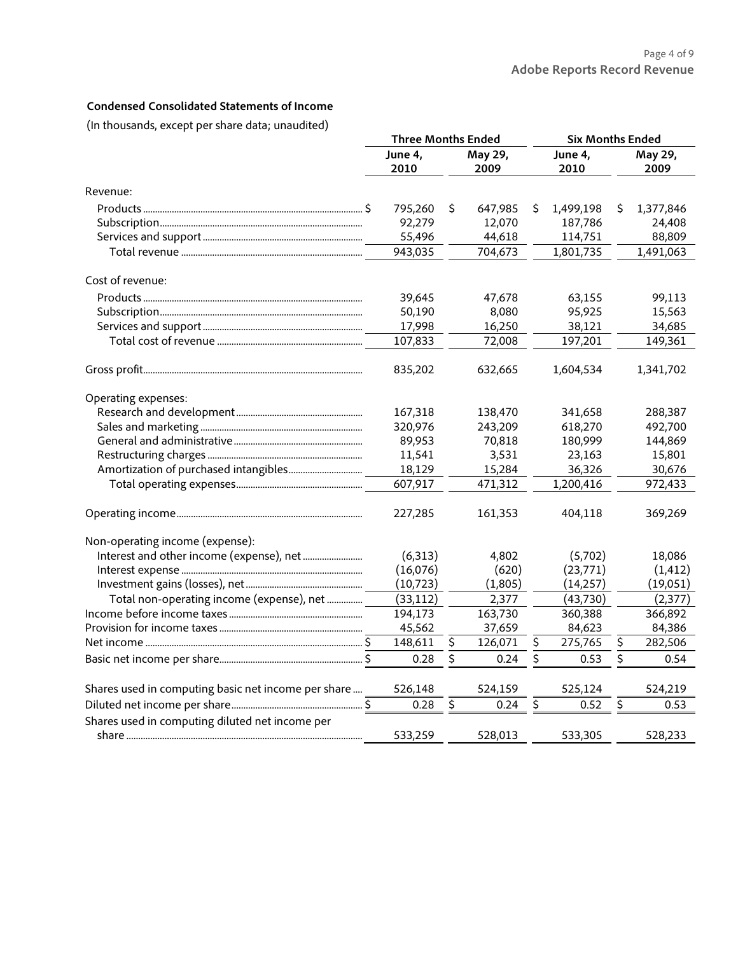# **Condensed Consolidated Statements of Income**

(In thousands, except per share data; unaudited)

|                                                     |                                    |    | <b>Three Months Ended</b> |                        |           | <b>Six Months Ended</b> |                 |  |
|-----------------------------------------------------|------------------------------------|----|---------------------------|------------------------|-----------|-------------------------|-----------------|--|
|                                                     | June 4,<br>May 29,<br>2010<br>2009 |    |                           | June 4,<br>2010        |           |                         | May 29,<br>2009 |  |
| Revenue:                                            |                                    |    |                           |                        |           |                         |                 |  |
|                                                     | 795,260                            | \$ | 647,985                   | \$                     | 1,499,198 | \$                      | 1,377,846       |  |
|                                                     | 92,279                             |    | 12,070                    |                        | 187,786   |                         | 24,408          |  |
|                                                     | 55,496                             |    | 44,618                    |                        | 114,751   |                         | 88,809          |  |
|                                                     | 943,035                            |    | 704,673                   |                        | 1,801,735 |                         | 1,491,063       |  |
| Cost of revenue:                                    |                                    |    |                           |                        |           |                         |                 |  |
|                                                     | 39,645                             |    | 47,678                    |                        | 63,155    |                         | 99,113          |  |
|                                                     | 50,190                             |    | 8,080                     |                        | 95,925    |                         | 15,563          |  |
|                                                     | 17,998                             |    | 16,250                    |                        | 38,121    |                         | 34,685          |  |
|                                                     | 107,833                            |    | 72,008                    |                        | 197,201   |                         | 149,361         |  |
|                                                     | 835,202                            |    | 632,665                   |                        | 1,604,534 |                         | 1,341,702       |  |
| Operating expenses:                                 |                                    |    |                           |                        |           |                         |                 |  |
|                                                     | 167,318                            |    | 138,470                   |                        | 341,658   |                         | 288,387         |  |
|                                                     | 320,976                            |    | 243,209                   |                        | 618,270   |                         | 492,700         |  |
|                                                     | 89,953                             |    | 70,818                    |                        | 180,999   |                         | 144,869         |  |
|                                                     | 11,541                             |    | 3,531                     |                        | 23,163    |                         | 15,801          |  |
|                                                     | 18,129                             |    | 15,284                    |                        | 36,326    |                         | 30,676          |  |
|                                                     | 607,917                            |    | 471,312                   |                        | 1,200,416 |                         | 972,433         |  |
|                                                     | 227,285                            |    | 161,353                   |                        | 404,118   |                         | 369,269         |  |
| Non-operating income (expense):                     |                                    |    |                           |                        |           |                         |                 |  |
|                                                     | (6, 313)                           |    | 4,802                     |                        | (5,702)   |                         | 18,086          |  |
|                                                     | (16,076)                           |    | (620)                     |                        | (23, 771) |                         | (1, 412)        |  |
|                                                     | (10, 723)                          |    | (1,805)                   |                        | (14,257)  |                         | (19,051)        |  |
| Total non-operating income (expense), net           | (33, 112)                          |    | 2,377                     |                        | (43, 730) |                         | (2,377)         |  |
|                                                     | 194,173                            |    | 163,730                   |                        | 360,388   |                         | 366,892         |  |
|                                                     | 45,562                             |    | 37,659                    |                        | 84,623    |                         | 84,386          |  |
|                                                     | 148,611                            | \$ | 126,071                   | \$                     | 275,765   | \$                      | 282,506         |  |
|                                                     | 0.28                               | \$ | 0.24                      | $\overline{\varsigma}$ | 0.53      | \$                      | 0.54            |  |
| Shares used in computing basic net income per share | 526,148                            |    | 524,159                   |                        | 525,124   |                         | 524,219         |  |
|                                                     | 0.28                               | \$ | 0.24                      | \$                     | 0.52      | \$                      | 0.53            |  |
| Shares used in computing diluted net income per     |                                    |    |                           |                        |           |                         |                 |  |
|                                                     | 533,259                            |    | 528,013                   |                        | 533,305   |                         | 528,233         |  |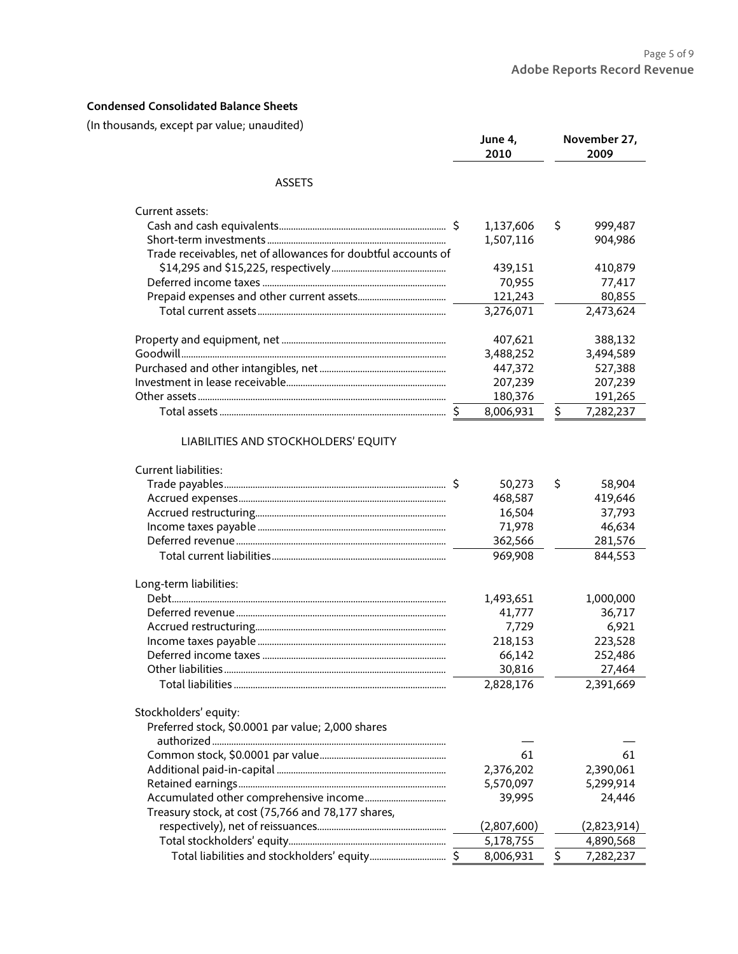# **Condensed Consolidated Balance Sheets**

(In thousands, except par value; unaudited)

| asonos, exeept por votae, anoaoiteo                                        | June 4,<br>2010                                                          |    | November 27,<br>2009                                                     |
|----------------------------------------------------------------------------|--------------------------------------------------------------------------|----|--------------------------------------------------------------------------|
| <b>ASSETS</b>                                                              |                                                                          |    |                                                                          |
| Current assets:                                                            |                                                                          |    |                                                                          |
|                                                                            | 1,137,606                                                                | \$ | 999,487                                                                  |
|                                                                            | 1,507,116                                                                |    | 904,986                                                                  |
| Trade receivables, net of allowances for doubtful accounts of              |                                                                          |    |                                                                          |
|                                                                            | 439,151                                                                  |    | 410,879                                                                  |
|                                                                            | 70,955                                                                   |    | 77,417                                                                   |
|                                                                            | 121,243                                                                  |    | 80,855                                                                   |
|                                                                            | 3,276,071                                                                |    | 2,473,624                                                                |
|                                                                            | 407,621                                                                  |    | 388,132                                                                  |
|                                                                            | 3,488,252                                                                |    | 3,494,589                                                                |
|                                                                            | 447,372                                                                  |    | 527,388                                                                  |
|                                                                            | 207,239                                                                  |    | 207,239                                                                  |
|                                                                            | 180,376                                                                  |    | 191,265                                                                  |
|                                                                            | 8,006,931                                                                | \$ | 7,282,237                                                                |
| Long-term liabilities:                                                     | 50,273<br>468,587<br>16,504<br>71,978<br>362,566<br>969,908<br>1,493,651 | S  | 58,904<br>419,646<br>37,793<br>46,634<br>281,576<br>844,553<br>1,000,000 |
|                                                                            | 41,777                                                                   |    | 36,717                                                                   |
|                                                                            | 7,729                                                                    |    | 6,921                                                                    |
|                                                                            | 218,153                                                                  |    | 223,528                                                                  |
|                                                                            | 66,142                                                                   |    | 252,486                                                                  |
|                                                                            | 30,816<br>2,828,176                                                      |    | 27,464<br>2,391,669                                                      |
| Stockholders' equity:<br>Preferred stock, \$0.0001 par value; 2,000 shares |                                                                          |    |                                                                          |
|                                                                            | 61                                                                       |    | 61                                                                       |
|                                                                            | 2,376,202                                                                |    | 2,390,061                                                                |
|                                                                            | 5,570,097                                                                |    | 5,299,914                                                                |
|                                                                            | 39,995                                                                   |    | 24,446                                                                   |
| Treasury stock, at cost (75,766 and 78,177 shares,                         |                                                                          |    |                                                                          |
|                                                                            | (2,807,600)                                                              |    | (2,823,914)                                                              |
|                                                                            | 5,178,755                                                                |    | 4,890,568                                                                |
|                                                                            |                                                                          |    |                                                                          |
|                                                                            | 8,006,931                                                                | \$ | 7,282,237                                                                |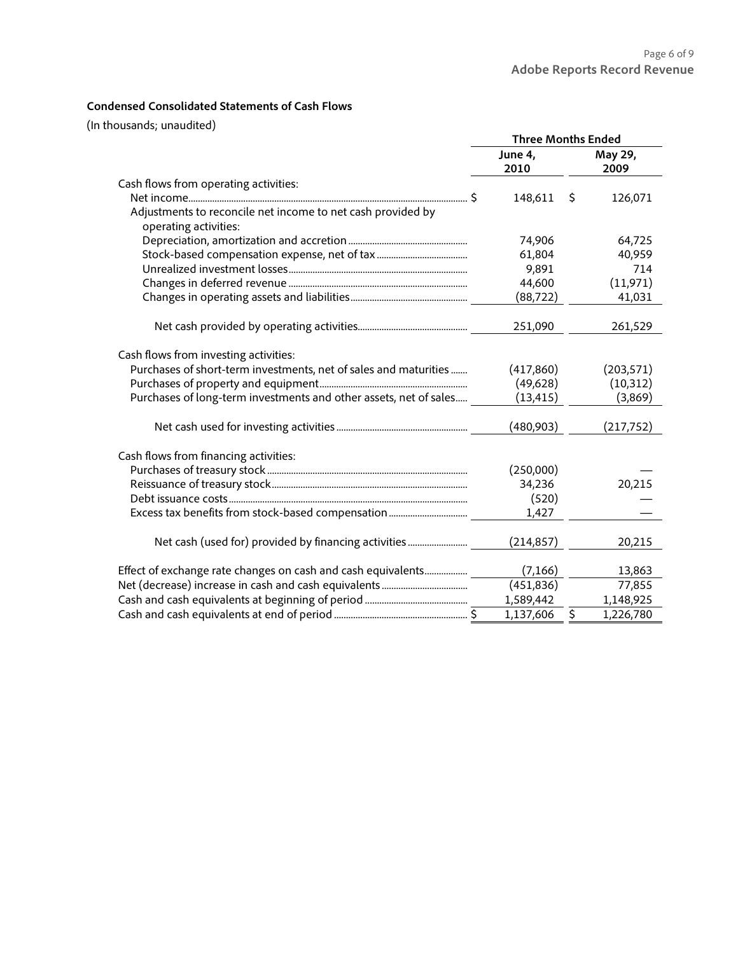## **Condensed Consolidated Statements of Cash Flows**

(In thousands; unaudited)

|                                                                   | <b>Three Months Ended</b> |                                     |  |
|-------------------------------------------------------------------|---------------------------|-------------------------------------|--|
|                                                                   | June 4,                   | May 29,                             |  |
|                                                                   | 2010                      | 2009                                |  |
| Cash flows from operating activities:                             |                           |                                     |  |
|                                                                   | 148,611                   | 126,071<br>\$.                      |  |
| Adjustments to reconcile net income to net cash provided by       |                           |                                     |  |
| operating activities:                                             |                           |                                     |  |
|                                                                   | 74,906                    | 64,725                              |  |
|                                                                   | 61,804                    | 40,959                              |  |
|                                                                   | 9,891                     | 714                                 |  |
|                                                                   | 44,600                    | (11, 971)                           |  |
|                                                                   | (88, 722)                 | 41,031                              |  |
|                                                                   |                           |                                     |  |
|                                                                   | 251,090                   | 261,529                             |  |
| Cash flows from investing activities:                             |                           |                                     |  |
| Purchases of short-term investments, net of sales and maturities  | (417,860)                 | (203, 571)                          |  |
|                                                                   | (49, 628)                 | (10, 312)                           |  |
| Purchases of long-term investments and other assets, net of sales | (13, 415)                 | (3,869)                             |  |
|                                                                   | (480,903)                 | (217, 752)                          |  |
|                                                                   |                           |                                     |  |
| Cash flows from financing activities:                             |                           |                                     |  |
|                                                                   | (250,000)                 |                                     |  |
|                                                                   | 34,236                    | 20,215                              |  |
|                                                                   | (520)                     |                                     |  |
|                                                                   | 1,427                     |                                     |  |
|                                                                   | (214, 857)                | 20,215                              |  |
|                                                                   |                           |                                     |  |
| Effect of exchange rate changes on cash and cash equivalents      | (7, 166)                  | 13,863                              |  |
|                                                                   | (451, 836)                | 77,855                              |  |
|                                                                   | 1,589,442                 | 1,148,925                           |  |
|                                                                   | 1,137,606                 | $\overline{\varsigma}$<br>1,226,780 |  |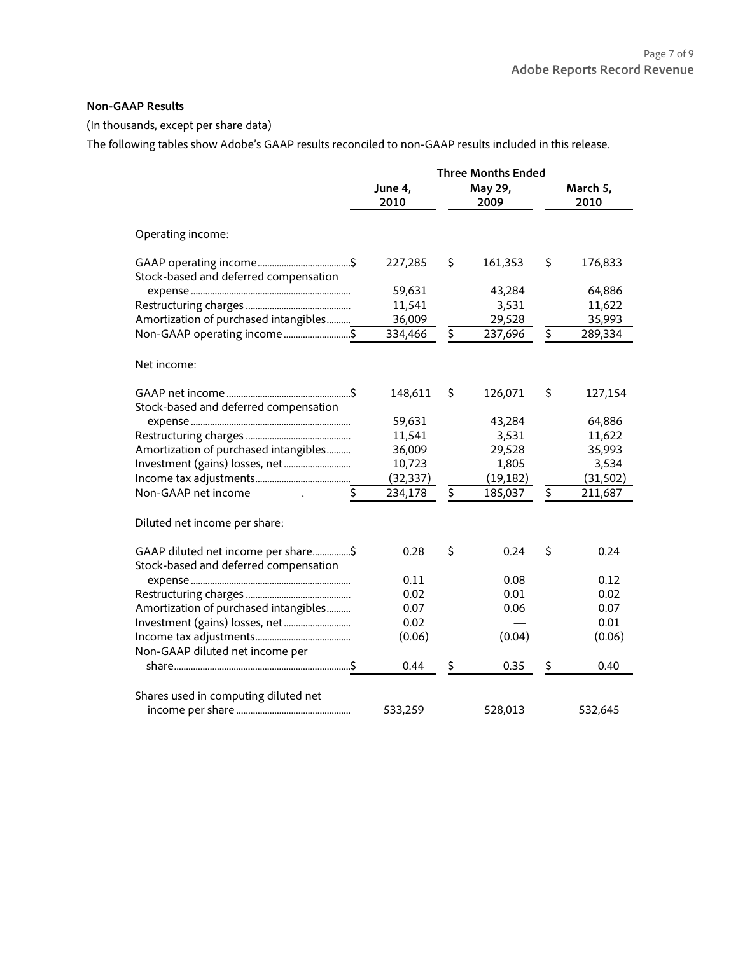### **Non-GAAP Results**

(In thousands, except per share data)

The following tables show Adobe's GAAP results reconciled to non-GAAP results included in this release.

|                                                                              | <b>Three Months Ended</b> |    |                 |    |                  |
|------------------------------------------------------------------------------|---------------------------|----|-----------------|----|------------------|
|                                                                              | June 4,<br>2010           |    | May 29,<br>2009 |    | March 5,<br>2010 |
| Operating income:                                                            |                           |    |                 |    |                  |
| Stock-based and deferred compensation                                        | 227,285                   | \$ | 161,353         | \$ | 176,833          |
|                                                                              | 59,631                    |    | 43,284          |    | 64,886           |
|                                                                              | 11,541                    |    | 3,531           |    | 11,622           |
| Amortization of purchased intangibles                                        | 36,009                    |    | 29,528          |    | 35,993           |
| Non-GAAP operating income\$                                                  | 334,466                   | \$ | 237,696         | \$ | 289,334          |
| Net income:                                                                  |                           |    |                 |    |                  |
| Stock-based and deferred compensation                                        | 148,611                   | \$ | 126,071         | \$ | 127,154          |
|                                                                              | 59,631                    |    | 43,284          |    | 64,886           |
|                                                                              | 11,541                    |    | 3,531           |    | 11,622           |
| Amortization of purchased intangibles                                        | 36,009                    |    | 29,528          |    | 35,993           |
|                                                                              | 10,723                    |    | 1,805           |    | 3,534            |
|                                                                              | (32,337)                  |    | (19, 182)       |    | (31, 502)        |
| \$<br>Non-GAAP net income                                                    | 234,178                   | \$ | 185,037         | \$ | 211,687          |
| Diluted net income per share:                                                |                           |    |                 |    |                  |
| GAAP diluted net income per share\$<br>Stock-based and deferred compensation | 0.28                      | \$ | 0.24            | \$ | 0.24             |
|                                                                              | 0.11                      |    | 0.08            |    | 0.12             |
|                                                                              | 0.02                      |    | 0.01            |    | 0.02             |
| Amortization of purchased intangibles                                        | 0.07                      |    | 0.06            |    | 0.07             |
|                                                                              | 0.02                      |    |                 |    | 0.01             |
|                                                                              | (0.06)                    |    | (0.04)          |    | (0.06)           |
| Non-GAAP diluted net income per                                              |                           |    |                 |    |                  |
|                                                                              | 0.44                      | \$ | 0.35            | \$ | 0.40             |
| Shares used in computing diluted net                                         | 533,259                   |    | 528,013         |    | 532,645          |
|                                                                              |                           |    |                 |    |                  |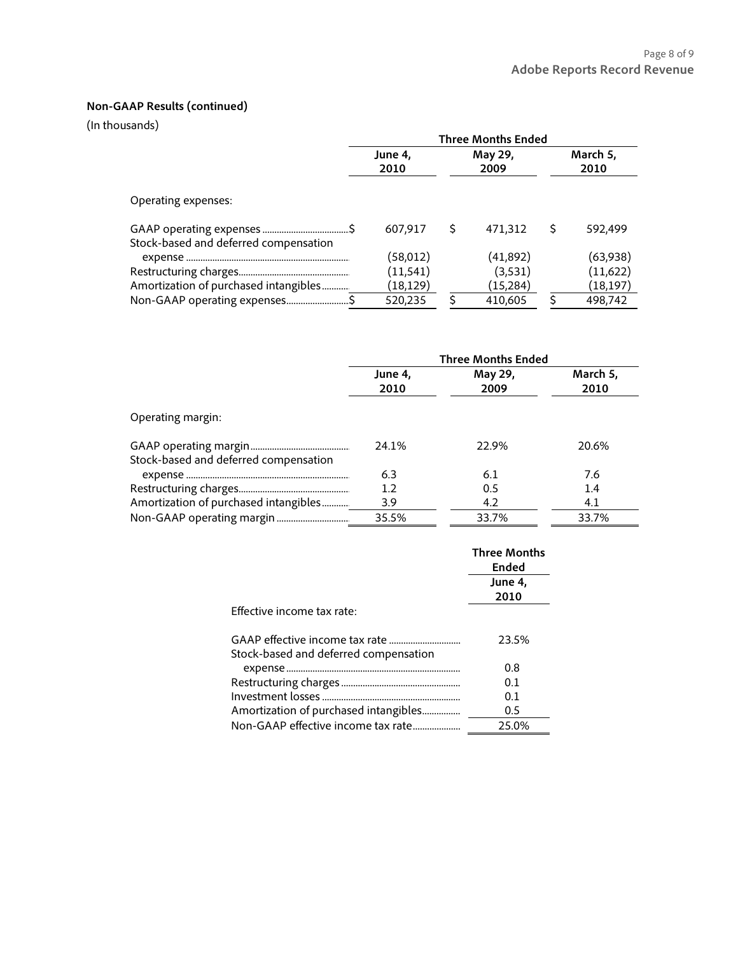# **Non-GAAP Results (continued)**

(In thousands)

|                                       | <b>Three Months Ended</b> |   |           |   |          |
|---------------------------------------|---------------------------|---|-----------|---|----------|
|                                       | June 4,                   |   | May 29,   |   | March 5, |
|                                       | 2010                      |   | 2009      |   | 2010     |
|                                       |                           |   |           |   |          |
| Operating expenses:                   |                           |   |           |   |          |
| Stock-based and deferred compensation | 607,917                   | S | 471,312   | Ś | 592,499  |
|                                       | (58,012)                  |   | (41,892)  |   | (63,938) |
|                                       | (11, 541)                 |   | (3,531)   |   | (11,622) |
| Amortization of purchased intangibles | (18,129)                  |   | (15, 284) |   | (18,197) |
| Non-GAAP operating expenses\$         | 520,235                   |   | 410.605   | Ś | 498.742  |

|                                       |                 | <b>Three Months Ended</b> |                  |
|---------------------------------------|-----------------|---------------------------|------------------|
|                                       | June 4,<br>2010 | May 29,<br>2009           | March 5,<br>2010 |
| Operating margin:                     |                 |                           |                  |
| Stock-based and deferred compensation | 24.1%           | 22.9%                     | 20.6%            |
|                                       | 6.3             | 6.1                       | 7.6              |
|                                       | 1.2             | 0.5                       | 1.4              |
| Amortization of purchased intangibles | 3.9             | 4.2                       | 4.1              |
|                                       | 35.5%           | 33.7%                     | 33.7%            |

|                                       | <b>Three Months</b><br>Ended |
|---------------------------------------|------------------------------|
|                                       | June 4,<br>2010              |
| <b>Effective income tax rate:</b>     |                              |
|                                       | 23.5%                        |
| Stock-based and deferred compensation |                              |
|                                       | 0.8                          |
|                                       | 0.1                          |
|                                       | 0.1                          |
| Amortization of purchased intangibles | 0.5                          |
| Non-GAAP effective income tax rate    | 25.0%                        |